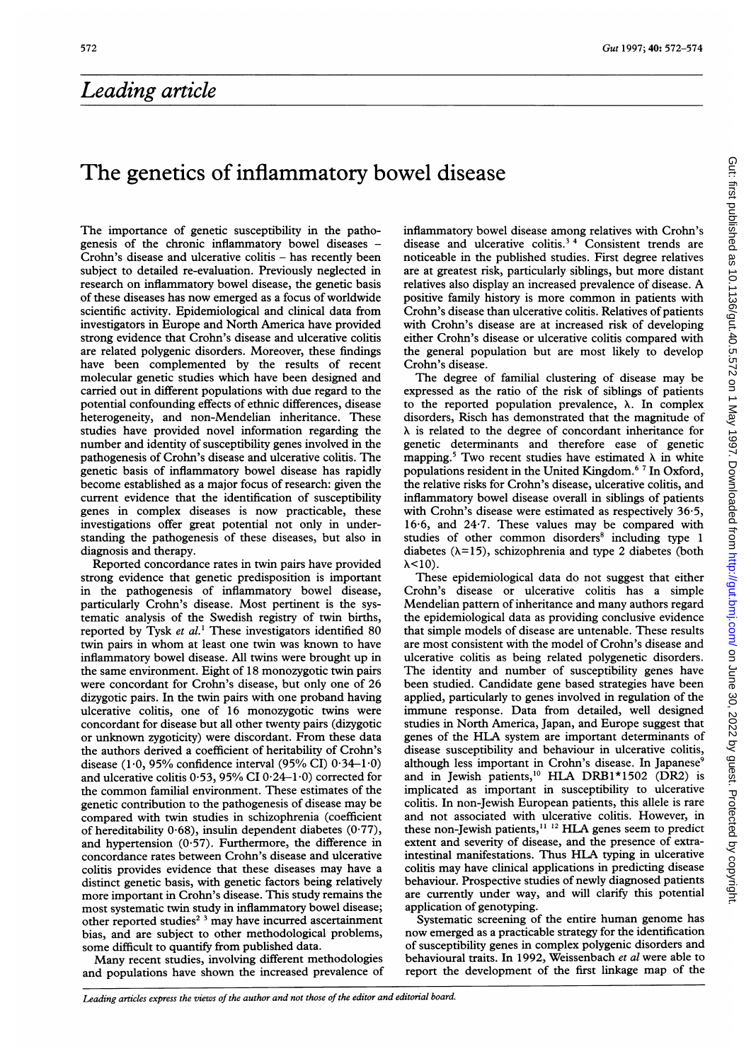## Leading article

## The genetics of inflammatory bowel disease

The importance of genetic susceptibility in the pathogenesis of the chronic inflammatory bowel diseases - Crohn's disease and ulcerative colitis  $-$  has recently been subject to detailed re-evaluation. Previously neglected in research on inflammatory bowel disease, the genetic basis of these diseases has now emerged as <sup>a</sup> focus of worldwide scientific activity. Epidemiological and clinical data from investigators in Europe and North America have provided strong evidence that Crohn's disease and ulcerative colitis are related polygenic disorders. Moreover, these findings have been complemented by the results of recent molecular genetic studies which have been designed and carried out in different populations with due regard to the potential confounding effects of ethnic differences, disease heterogeneity, and non-Mendelian inheritance. These studies have provided novel information regarding the number and identity of susceptibility genes involved in the pathogenesis of Crohn's disease and ulcerative colitis. The genetic basis of inflammatory bowel disease has rapidly become established as a major focus of research: given the current evidence that the identification of susceptibility genes in complex diseases is now practicable, these investigations offer great potential not only in understanding the pathogenesis of these diseases, but also in diagnosis and therapy.

Reported concordance rates in twin pairs have provided strong evidence that genetic predisposition is important in the pathogenesis of inflammatory bowel disease, particularly Crohn's disease. Most pertinent is the systematic analysis of the Swedish registry of twin births, reported by Tysk et  $al$ <sup>1</sup> These investigators identified 80 twin pairs in whom at least one twin was known to have inflammatory bowel disease. All twins were brought up in the same environment. Eight of 18 monozygotic twin pairs were concordant for Crohn's disease, but only one of 26 dizygotic pairs. In the twin pairs with one proband having ulcerative colitis, one of 16 monozygotic twins were concordant for disease but all other twenty pairs (dizygotic or unknown zygoticity) were discordant. From these data the authors derived a coefficient of heritability of Crohn's disease (1.0, 95% confidence interval (95% CI)  $0.34-1.0$ ) and ulcerative colitis  $0.53$ ,  $95\%$  CI  $0.24-1.0$ ) corrected for the common familial environment. These estimates of the genetic contribution to the pathogenesis of disease may be compared with twin studies in schizophrenia (coefficient of hereditability  $0.68$ ), insulin dependent diabetes  $(0.77)$ , and hypertension (0-57). Furthermore, the difference in concordance rates between Crohn's disease and ulcerative colitis provides evidence that these diseases may have a distinct genetic basis, with genetic factors being relatively more important in Crohn's disease. This study remains the most systematic twin study in inflammatory bowel disease; other reported studies<sup>2</sup><sup>3</sup> may have incurred ascertainment bias, and are subject to other methodological problems, some difficult to quantify from published data.

Many recent studies, involving different methodologies and populations have shown the increased prevalence of inflammatory bowel disease among relatives with Crohn's disease and ulcerative colitis.<sup>34</sup> Consistent trends are noticeable in the published studies. First degree relatives are at greatest risk, particularly siblings, but more distant relatives also display an increased prevalence of disease. A positive family history is more common in patients with Crohn's disease than ulcerative colitis. Relatives of patients with Crohn's disease are at increased risk of developing either Crohn's disease or ulcerative colitis compared with the general population but are most likely to develop Crohn's disease.

The degree of familial clustering of disease may be expressed as the ratio of the risk of siblings of patients to the reported population prevalence,  $\lambda$ . In complex disorders, Risch has demonstrated that the magnitude of  $\lambda$  is related to the degree of concordant inheritance for genetic determinants and therefore ease of genetic mapping.<sup>5</sup> Two recent studies have estimated  $\lambda$  in white populations resident in the United Kingdom.6 <sup>7</sup> In Oxford, the relative risks for Crohn's disease, ulcerative colitis, and inflammatory bowel disease overall in siblings of patients with Crohn's disease were estimated as respectively 36-5, 16-6, and 24-7. These values may be compared with studies of other common disorders<sup>8</sup> including type 1 diabetes  $(\lambda=15)$ , schizophrenia and type 2 diabetes (both  $\lambda$ <10).

These epidemiological data do not suggest that either Crohn's disease or ulcerative colitis has a simple Mendelian pattern of inheritance and many authors regard the epidemiological data as providing conclusive evidence that simple models of disease are untenable. These results are most consistent with the model of Crohn's disease and ulcerative colitis as being related polygenetic disorders. The identity and number of susceptibility genes have been studied. Candidate gene based strategies have been applied, particularly to genes involved in regulation of the immune response. Data from detailed, well designed studies in North America, Japan, and Europe suggest that genes of the HLA system are important determinants of disease susceptibility and behaviour in ulcerative colitis, although less important in Crohn's disease. In Japanese<sup>9</sup> and in Jewish patients,<sup>10</sup> HLA DRB1\*1502 (DR2) is implicated as important in susceptibility to ulcerative colitis. In non-Jewish European patients, this allele is rare and not associated with ulcerative colitis. However, in these non-Jewish patients,<sup>11-12</sup> HLA genes seem to predict extent and severity of disease, and the presence of extraintestinal manifestations. Thus HLA typing in ulcerative colitis may have clinical applications in predicting disease behaviour. Prospective studies of newly diagnosed patients are currently under way, and will clarify this potential application of genotyping.

Systematic screening of the entire human genome has now emerged as a practicable strategy for the identification of susceptibility genes in complex polygenic disorders and behavioural traits. In 1992, Weissenbach et al were able to report the development of the first linkage map of the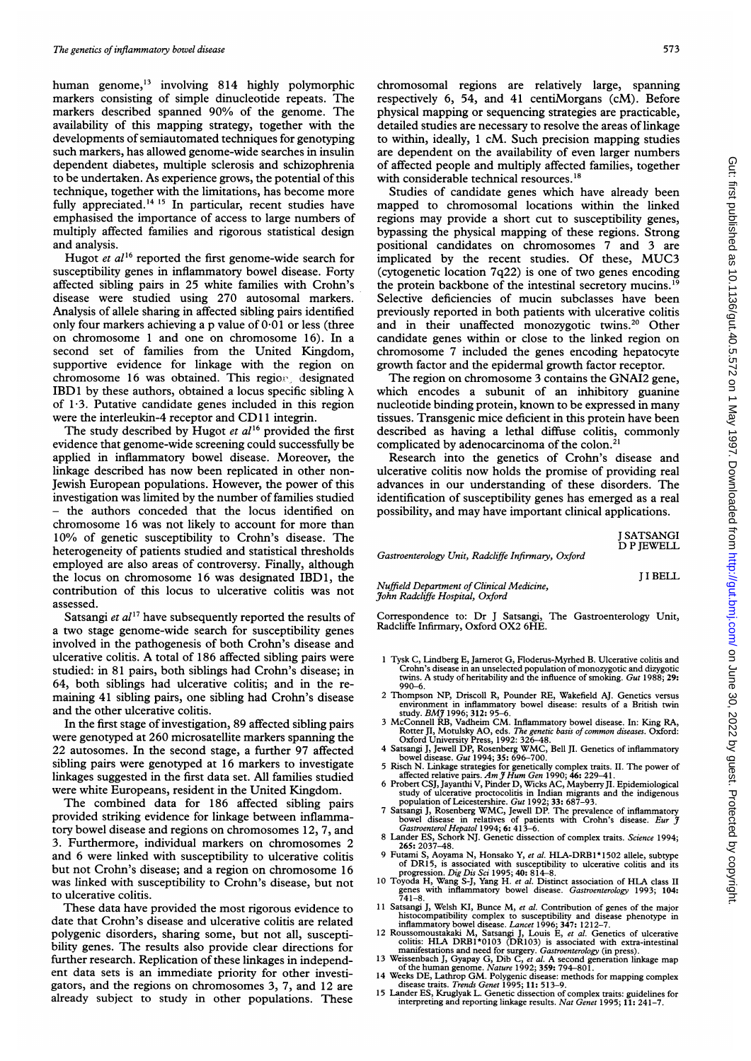human genome,'3 involving 814 highly polymorphic markers consisting of simple dinucleotide repeats. The markers described spanned 90% of the genome. The availability of this mapping strategy, together with the developments of semiautomated techniques for genotyping such markers, has allowed genome-wide searches in insulin dependent diabetes, multiple sclerosis and schizophrenia to be undertaken. As experience grows, the potential of this technique, together with the limitations, has become more fully appreciated.<sup>14 15</sup> In particular, recent studies have emphasised the importance of access to large numbers of multiply affected families and rigorous statistical design and analysis.

Hugot *et al*<sup>16</sup> reported the first genome-wide search for susceptibility genes in inflammatory bowel disease. Forty affected sibling pairs in 25 white families with Crohn's disease were studied using 270 autosomal markers. Analysis of allele sharing in affected sibling pairs identified only four markers achieving a p value of  $0.01$  or less (three on chromosome <sup>1</sup> and one on chromosome 16). In a second set of families from the United Kingdom, supportive evidence for linkage with the region on chromosome 16 was obtained. This region, designated IBD1 by these authors, obtained a locus specific sibling  $\lambda$ of 1-3. Putative candidate genes included in this region were the interleukin-4 receptor and CD11 integrin.

The study described by Hugot et  $al^{16}$  provided the first evidence that genome-wide screening could successfully be applied in inflammatory bowel disease. Moreover, the linkage described has now been replicated in other non-Jewish European populations. However, the power of this investigation was limited by the number of families studied - the authors conceded that the locus identified on chromosome 16 was not likely to account for more than 10% of genetic susceptibility to Crohn's disease. The heterogeneity of patients studied and statistical thresholds employed are also areas of controversy. Finally, although the locus on chromosome 16 was designated IBD1, the contribution of this locus to ulcerative colitis was not assessed.

Satsangi et  $al^{17}$  have subsequently reported the results of a two stage genome-wide search for susceptibility genes involved in the pathogenesis of both Crohn's disease and ulcerative colitis. A total of <sup>186</sup> affected sibling pairs were studied: in 81 pairs, both siblings had Crohn's disease; in 64, both siblings had ulcerative colitis; and in the remaining 41 sibling pairs, one sibling had Crohn's disease and the other ulcerative colitis.

In the first stage of investigation, 89 affected sibling pairs were genotyped at 260 microsatellite markers spanning the 22 autosomes. In the second stage, a further 97 affected sibling pairs were genotyped at 16 markers to investigate linkages suggested in the first data set. All families studied were white Europeans, resident in the United Kingdom.

The combined data for 186 affected sibling pairs provided striking evidence for linkage between inflammatory bowel disease and regions on chromosomes 12, 7, and 3. Furthermore, individual markers on chromosomes 2 and 6 were linked with susceptibility to ulcerative colitis but not Crohn's disease; and a region on chromosome 16 was linked with susceptibility to Crohn's disease, but not to ulcerative colitis.

These data have provided the most rigorous evidence to date that Crohn's disease and ulcerative colitis are related polygenic disorders, sharing some, but not all, susceptibility genes. The results also provide clear directions for further research. Replication of these linkages in independent data sets is an immediate priority for other investigators, and the regions on chromosomes 3, 7, and 12 are already subject to study in other populations. These

chromosomal regions are relatively large, spanning respectively 6, 54, and 41 centiMorgans (cM). Before physical mapping or sequencing strategies are practicable, detailed studies are necessary to resolve the areas of linkage to within, ideally, <sup>1</sup> cM. Such precision mapping studies are dependent on the availability of even larger numbers of affected people and multiply affected families, together with considerable technical resources.<sup>18</sup>

Studies of candidate genes which have already been mapped to chromosomal locations within the linked regions may provide <sup>a</sup> short cut to susceptibility genes, bypassing the physical mapping of these regions. Strong positional candidates on chromosomes 7 and 3 are implicated by the recent studies. Of these, MUC3 (cytogenetic location 7q22) is one of two genes encoding the protein backbone of the intestinal secretory mucins.'9 Selective deficiencies of mucin subclasses have been previously reported in both patients with ulcerative colitis and in their unaffected monozygotic twins.<sup>20</sup> Other candidate genes within or close to the linked region on chromosome 7 included the genes encoding hepatocyte growth factor and the epidermal growth factor receptor.

The region on chromosome 3 contains the GNAI2 gene, which encodes a subunit of an inhibitory guanine nucleotide binding protein, known to be expressed in many tissues. Transgenic mice deficient in this protein have been described as having a lethal diffuse colitis, commonly complicated by adenocarcinoma of the colon. $^{21}$ 

Research into the genetics of Crohn's disease and ulcerative colitis now holds the promise of providing real advances in our understanding of these disorders. The identification of susceptibility genes has emerged as a real possibility, and may have important clinical applications.

> <sup>J</sup> SATSANGI D P JEWELL

Gastroenterology Unit, Radcliffe Infirmary, Oxford

<sup>J</sup> <sup>I</sup> BELL

Nuffield Department of Clinical Medicine, J'ohn Radcliffe Hospital, Oxford

Correspondence to: Dr <sup>J</sup> Satsangi, The Gastroenterology Unit, Radcliffe Infirmary, Oxford OX2 6HE.

- <sup>1</sup> Tysk C, Lindberg E, Jamerot G, Floderus-Myrhed B. Ulcerative colitis and Crohn's disease in an unselected population of monozygotic and dizygotic twins. A study of heritability and the influence of smoking. Gut 1988; 29:  $990 - 6$
- 2 Thompson NP, Driscoll R, Pounder RE, Wakefield AJ. Genetics versus environment in inflammatory bowel disease: results of a British twin study. BMJ 1996; 312: 95-6.
- <sup>3</sup> McConnell RB, Vadheim CM. Inflammatory bowel disease. In: King RA, Rotter JI, Motulsky AO, eds. The genetic basis of common diseases. Oxford: Oxford University Press, 1992: 326-48.
- <sup>4</sup> Satsangi J, Jewell DP, Rosenberg WMC, Bell JI. Genetics of inflammatory bowel disease. Gut 1994; 35: 696-700.
- 
- 5 Risch N. Linkage strategies for genetically complex traits. II. The power of<br>affected relative pairs. Am  $\tilde{J}$  Hum Gen 1990; 46: 229–41.<br>6 Probert CSJ, Jayanthi V, Pinder D, Wicks AC, Mayberry JI. Epidemiological<br>stu
- 
- 8 Lander ES, Schork NJ. Genetic dissection of complex traits. *Science* 1994;<br>265: 2037–48.
- 9 Futami S, Aoyama N, Honsako Y, et al. HLA-DRB1\*1502 allele, subtype of DR15, is associated with susceptibility to ulcerative colitis and its progression. Dig Dis Sci 1995; 40: 814-8.<br>10 Toyoda H, Wang S-J, Yang H. et al.
- genes with inflammatory bowel disease. *Gastroenterology* 1993; 104:<br>741–8.
- 741–8.<br>
11 Satsangi J, Welsh KI, Bunce M, *et al.* Contribution of genes of the major<br>
11 Satsangi J, Welsh KI, Bunce M, *et al.* Contribution disease phenotype in<br>
11 inflammatory bowel disease. *Lancet* 1996; 347: 1212–
- 
- 
- 
-